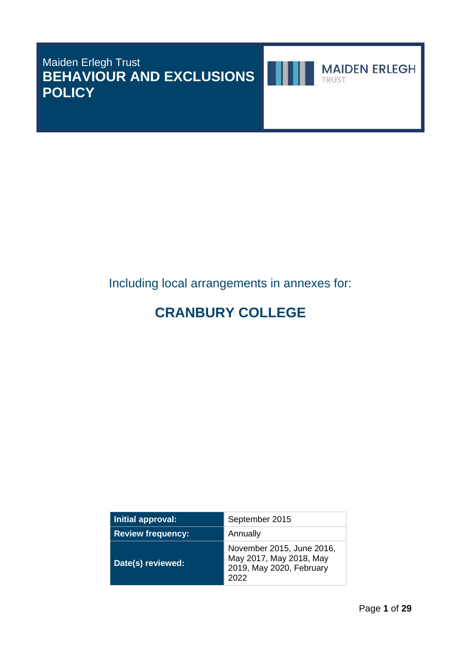Maiden Erlegh Trust **BEHAVIOUR AND EXCLUSIONS POLICY**



**MAIDEN ERLEGH** 

TRUST

Including local arrangements in annexes for:

# **CRANBURY COLLEGE**

| Initial approval:        | September 2015                                                                           |
|--------------------------|------------------------------------------------------------------------------------------|
| <b>Review frequency:</b> | Annually                                                                                 |
| Date(s) reviewed:        | November 2015, June 2016,<br>May 2017, May 2018, May<br>2019, May 2020, February<br>2022 |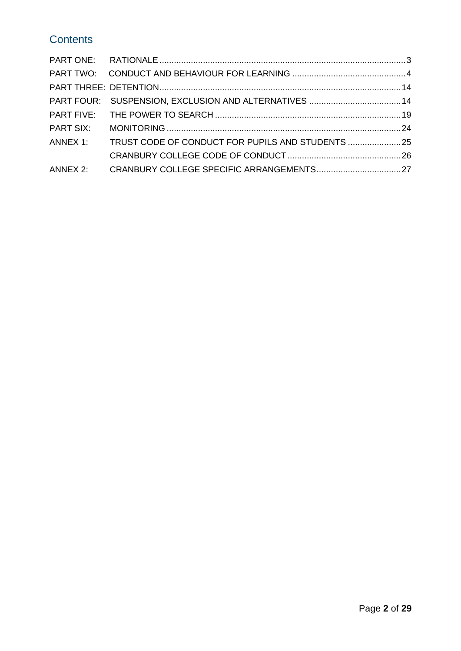## **Contents**

| ANNEX 1: TRUST CODE OF CONDUCT FOR PUPILS AND STUDENTS  25 |  |
|------------------------------------------------------------|--|
|                                                            |  |
|                                                            |  |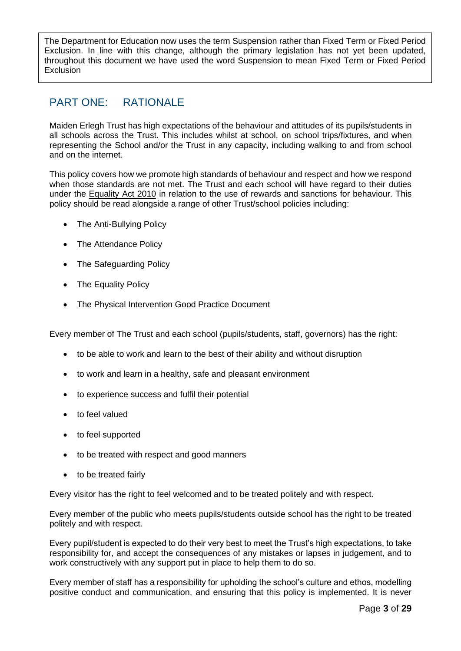The Department for Education now uses the term Suspension rather than Fixed Term or Fixed Period Exclusion. In line with this change, although the primary legislation has not yet been updated, throughout this document we have used the word Suspension to mean Fixed Term or Fixed Period Exclusion

### <span id="page-2-0"></span>PART ONE: RATIONALE

Maiden Erlegh Trust has high expectations of the behaviour and attitudes of its pupils/students in all schools across the Trust. This includes whilst at school, on school trips/fixtures, and when representing the School and/or the Trust in any capacity, including walking to and from school and on the internet.

This policy covers how we promote high standards of behaviour and respect and how we respond when those standards are not met. The Trust and each school will have regard to their duties under the [Equality Act 2010](https://www.gov.uk/government/publications/equality-act-2010-advice-for-schools) in relation to the use of rewards and sanctions for behaviour. This policy should be read alongside a range of other Trust/school policies including:

- The Anti-Bullying Policy
- The Attendance Policy
- The Safeguarding Policy
- The Equality Policy
- The Physical Intervention Good Practice Document

Every member of The Trust and each school (pupils/students, staff, governors) has the right:

- to be able to work and learn to the best of their ability and without disruption
- to work and learn in a healthy, safe and pleasant environment
- to experience success and fulfil their potential
- to feel valued
- to feel supported
- to be treated with respect and good manners
- to be treated fairly

Every visitor has the right to feel welcomed and to be treated politely and with respect.

Every member of the public who meets pupils/students outside school has the right to be treated politely and with respect.

Every pupil/student is expected to do their very best to meet the Trust's high expectations, to take responsibility for, and accept the consequences of any mistakes or lapses in judgement, and to work constructively with any support put in place to help them to do so.

Every member of staff has a responsibility for upholding the school's culture and ethos, modelling positive conduct and communication, and ensuring that this policy is implemented. It is never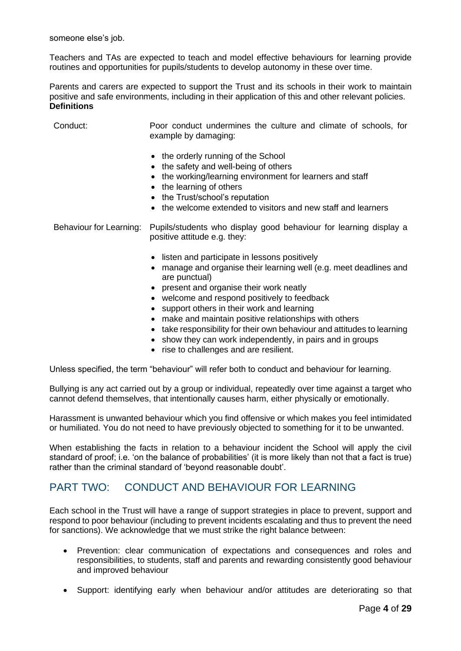someone else's job.

Teachers and TAs are expected to teach and model effective behaviours for learning provide routines and opportunities for pupils/students to develop autonomy in these over time.

Parents and carers are expected to support the Trust and its schools in their work to maintain positive and safe environments, including in their application of this and other relevant policies. **Definitions**

Conduct: Poor conduct undermines the culture and climate of schools, for example by damaging:

- the orderly running of the School
- the safety and well-being of others
- the working/learning environment for learners and staff
- the learning of others
- the Trust/school's reputation
- the welcome extended to visitors and new staff and learners

Behaviour for Learning: Pupils/students who display good behaviour for learning display a positive attitude e.g. they:

- listen and participate in lessons positively
- manage and organise their learning well (e.g. meet deadlines and are punctual)
- present and organise their work neatly
- welcome and respond positively to feedback
- support others in their work and learning
- make and maintain positive relationships with others
- take responsibility for their own behaviour and attitudes to learning
- show they can work independently, in pairs and in groups
- rise to challenges and are resilient.

Unless specified, the term "behaviour" will refer both to conduct and behaviour for learning.

Bullying is any act carried out by a group or individual, repeatedly over time against a target who cannot defend themselves, that intentionally causes harm, either physically or emotionally.

Harassment is unwanted behaviour which you find offensive or which makes you feel intimidated or humiliated. You do not need to have previously objected to something for it to be unwanted.

When establishing the facts in relation to a behaviour incident the School will apply the civil standard of proof; i.e. 'on the balance of probabilities' (it is more likely than not that a fact is true) rather than the criminal standard of 'beyond reasonable doubt'.

### <span id="page-3-0"></span>PART TWO: CONDUCT AND BEHAVIOUR FOR LEARNING

Each school in the Trust will have a range of support strategies in place to prevent, support and respond to poor behaviour (including to prevent incidents escalating and thus to prevent the need for sanctions). We acknowledge that we must strike the right balance between:

- Prevention: clear communication of expectations and consequences and roles and responsibilities, to students, staff and parents and rewarding consistently good behaviour and improved behaviour
- Support: identifying early when behaviour and/or attitudes are deteriorating so that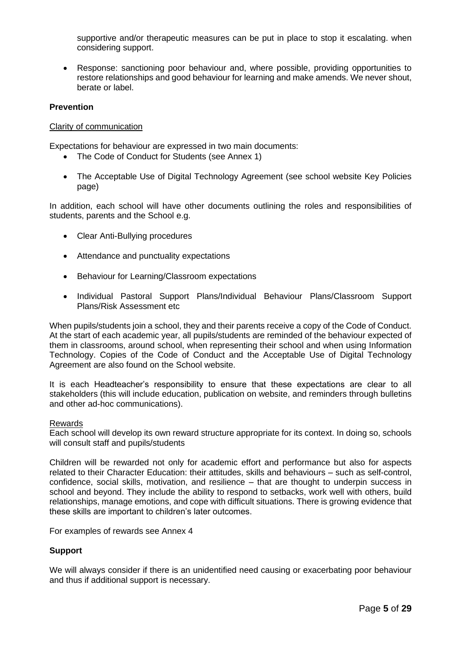supportive and/or therapeutic measures can be put in place to stop it escalating. when considering support.

• Response: sanctioning poor behaviour and, where possible, providing opportunities to restore relationships and good behaviour for learning and make amends. We never shout, berate or label.

#### **Prevention**

#### Clarity of communication

Expectations for behaviour are expressed in two main documents:

- The Code of Conduct for Students (see Annex 1)
- The Acceptable Use of Digital Technology Agreement (see school website Key Policies page)

In addition, each school will have other documents outlining the roles and responsibilities of students, parents and the School e.g.

- Clear Anti-Bullying procedures
- Attendance and punctuality expectations
- Behaviour for Learning/Classroom expectations
- Individual Pastoral Support Plans/Individual Behaviour Plans/Classroom Support Plans/Risk Assessment etc

When pupils/students join a school, they and their parents receive a copy of the Code of Conduct. At the start of each academic year, all pupils/students are reminded of the behaviour expected of them in classrooms, around school, when representing their school and when using Information Technology. Copies of the Code of Conduct and the Acceptable Use of Digital Technology Agreement are also found on the School website.

It is each Headteacher's responsibility to ensure that these expectations are clear to all stakeholders (this will include education, publication on website, and reminders through bulletins and other ad-hoc communications).

#### Rewards

Each school will develop its own reward structure appropriate for its context. In doing so, schools will consult staff and pupils/students

Children will be rewarded not only for academic effort and performance but also for aspects related to their Character Education: their attitudes, skills and behaviours – such as self-control, confidence, social skills, motivation, and resilience – that are thought to underpin success in school and beyond. They include the ability to respond to setbacks, work well with others, build relationships, manage emotions, and cope with difficult situations. There is growing evidence that these skills are important to children's later outcomes.

For examples of rewards see Annex 4

#### **Support**

We will always consider if there is an unidentified need causing or exacerbating poor behaviour and thus if additional support is necessary.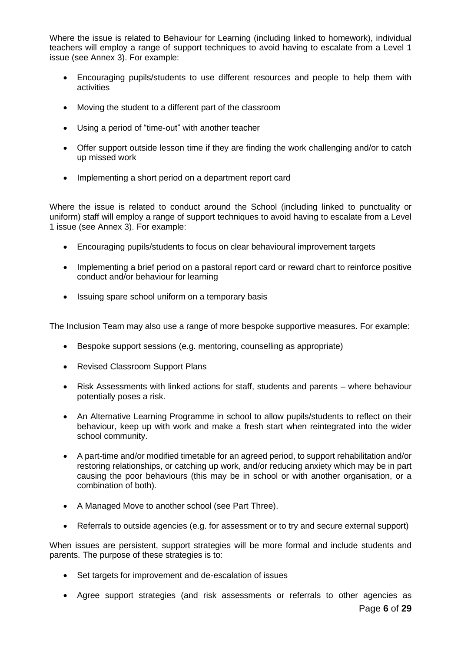Where the issue is related to Behaviour for Learning (including linked to homework), individual teachers will employ a range of support techniques to avoid having to escalate from a Level 1 issue (see Annex 3). For example:

- Encouraging pupils/students to use different resources and people to help them with activities
- Moving the student to a different part of the classroom
- Using a period of "time-out" with another teacher
- Offer support outside lesson time if they are finding the work challenging and/or to catch up missed work
- Implementing a short period on a department report card

Where the issue is related to conduct around the School (including linked to punctuality or uniform) staff will employ a range of support techniques to avoid having to escalate from a Level 1 issue (see Annex 3). For example:

- Encouraging pupils/students to focus on clear behavioural improvement targets
- Implementing a brief period on a pastoral report card or reward chart to reinforce positive conduct and/or behaviour for learning
- Issuing spare school uniform on a temporary basis

The Inclusion Team may also use a range of more bespoke supportive measures. For example:

- Bespoke support sessions (e.g. mentoring, counselling as appropriate)
- Revised Classroom Support Plans
- Risk Assessments with linked actions for staff, students and parents where behaviour potentially poses a risk.
- An Alternative Learning Programme in school to allow pupils/students to reflect on their behaviour, keep up with work and make a fresh start when reintegrated into the wider school community.
- A part-time and/or modified timetable for an agreed period, to support rehabilitation and/or restoring relationships, or catching up work, and/or reducing anxiety which may be in part causing the poor behaviours (this may be in school or with another organisation, or a combination of both).
- A Managed Move to another school (see Part Three).
- Referrals to outside agencies (e.g. for assessment or to try and secure external support)

When issues are persistent, support strategies will be more formal and include students and parents. The purpose of these strategies is to:

- Set targets for improvement and de-escalation of issues
- Agree support strategies (and risk assessments or referrals to other agencies as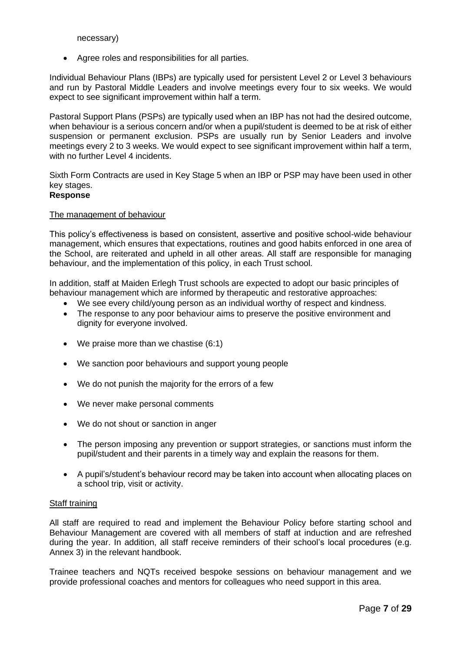#### necessary)

• Agree roles and responsibilities for all parties.

Individual Behaviour Plans (IBPs) are typically used for persistent Level 2 or Level 3 behaviours and run by Pastoral Middle Leaders and involve meetings every four to six weeks. We would expect to see significant improvement within half a term.

Pastoral Support Plans (PSPs) are typically used when an IBP has not had the desired outcome, when behaviour is a serious concern and/or when a pupil/student is deemed to be at risk of either suspension or permanent exclusion. PSPs are usually run by Senior Leaders and involve meetings every 2 to 3 weeks. We would expect to see significant improvement within half a term, with no further Level 4 incidents.

Sixth Form Contracts are used in Key Stage 5 when an IBP or PSP may have been used in other key stages.

#### **Response**

#### The management of behaviour

This policy's effectiveness is based on consistent, assertive and positive school-wide behaviour management, which ensures that expectations, routines and good habits enforced in one area of the School, are reiterated and upheld in all other areas. All staff are responsible for managing behaviour, and the implementation of this policy, in each Trust school.

In addition, staff at Maiden Erlegh Trust schools are expected to adopt our basic principles of behaviour management which are informed by therapeutic and restorative approaches:

- We see every child/young person as an individual worthy of respect and kindness.
- The response to any poor behaviour aims to preserve the positive environment and dignity for everyone involved.
- We praise more than we chastise (6:1)
- We sanction poor behaviours and support young people
- We do not punish the majority for the errors of a few
- We never make personal comments
- We do not shout or sanction in anger
- The person imposing any prevention or support strategies, or sanctions must inform the pupil/student and their parents in a timely way and explain the reasons for them.
- A pupil's/student's behaviour record may be taken into account when allocating places on a school trip, visit or activity.

#### Staff training

All staff are required to read and implement the Behaviour Policy before starting school and Behaviour Management are covered with all members of staff at induction and are refreshed during the year. In addition, all staff receive reminders of their school's local procedures (e.g. Annex 3) in the relevant handbook.

Trainee teachers and NQTs received bespoke sessions on behaviour management and we provide professional coaches and mentors for colleagues who need support in this area.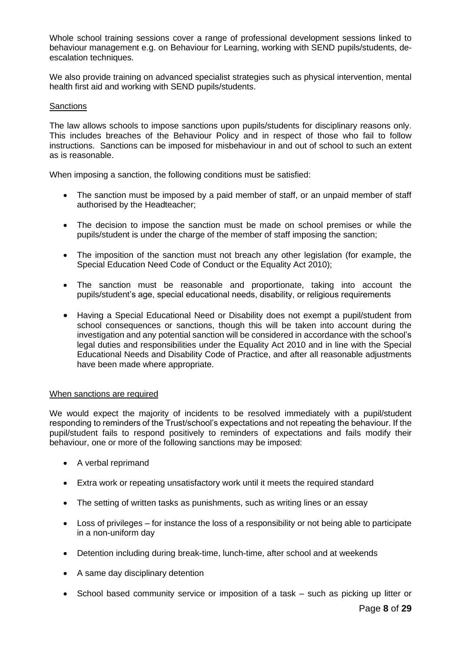Whole school training sessions cover a range of professional development sessions linked to behaviour management e.g. on Behaviour for Learning, working with SEND pupils/students, deescalation techniques.

We also provide training on advanced specialist strategies such as physical intervention, mental health first aid and working with SEND pupils/students.

#### **Sanctions**

The law allows schools to impose sanctions upon pupils/students for disciplinary reasons only. This includes breaches of the Behaviour Policy and in respect of those who fail to follow instructions. Sanctions can be imposed for misbehaviour in and out of school to such an extent as is reasonable.

When imposing a sanction, the following conditions must be satisfied:

- The sanction must be imposed by a paid member of staff, or an unpaid member of staff authorised by the Headteacher;
- The decision to impose the sanction must be made on school premises or while the pupils/student is under the charge of the member of staff imposing the sanction;
- The imposition of the sanction must not breach any other legislation (for example, the Special Education Need Code of Conduct or the Equality Act 2010);
- The sanction must be reasonable and proportionate, taking into account the pupils/student's age, special educational needs, disability, or religious requirements
- Having a Special Educational Need or Disability does not exempt a pupil/student from school consequences or sanctions, though this will be taken into account during the investigation and any potential sanction will be considered in accordance with the school's legal duties and responsibilities under the Equality Act 2010 and in line with the Special Educational Needs and Disability Code of Practice, and after all reasonable adjustments have been made where appropriate.

#### When sanctions are required

We would expect the majority of incidents to be resolved immediately with a pupil/student responding to reminders of the Trust/school's expectations and not repeating the behaviour. If the pupil/student fails to respond positively to reminders of expectations and fails modify their behaviour, one or more of the following sanctions may be imposed:

- A verbal reprimand
- Extra work or repeating unsatisfactory work until it meets the required standard
- The setting of written tasks as punishments, such as writing lines or an essay
- Loss of privileges for instance the loss of a responsibility or not being able to participate in a non-uniform day
- Detention including during break-time, lunch-time, after school and at weekends
- A same day disciplinary detention
- School based community service or imposition of a task such as picking up litter or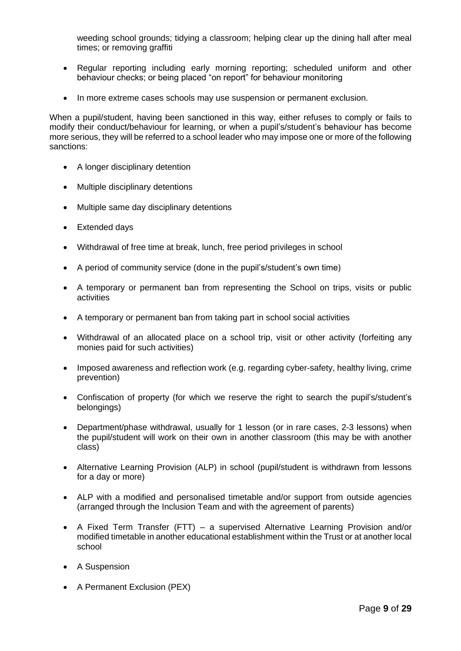weeding school grounds; tidying a classroom; helping clear up the dining hall after meal times; or removing graffiti

- Regular reporting including early morning reporting; scheduled uniform and other behaviour checks; or being placed "on report" for behaviour monitoring
- In more extreme cases schools may use suspension or permanent exclusion.

When a pupil/student, having been sanctioned in this way, either refuses to comply or fails to modify their conduct/behaviour for learning, or when a pupil's/student's behaviour has become more serious, they will be referred to a school leader who may impose one or more of the following sanctions:

- A longer disciplinary detention
- Multiple disciplinary detentions
- Multiple same day disciplinary detentions
- Extended days
- Withdrawal of free time at break, lunch, free period privileges in school
- A period of community service (done in the pupil's/student's own time)
- A temporary or permanent ban from representing the School on trips, visits or public activities
- A temporary or permanent ban from taking part in school social activities
- Withdrawal of an allocated place on a school trip, visit or other activity (forfeiting any monies paid for such activities)
- Imposed awareness and reflection work (e.g. regarding cyber-safety, healthy living, crime prevention)
- Confiscation of property (for which we reserve the right to search the pupil's/student's belongings)
- Department/phase withdrawal, usually for 1 lesson (or in rare cases, 2-3 lessons) when the pupil/student will work on their own in another classroom (this may be with another class)
- Alternative Learning Provision (ALP) in school (pupil/student is withdrawn from lessons for a day or more)
- ALP with a modified and personalised timetable and/or support from outside agencies (arranged through the Inclusion Team and with the agreement of parents)
- A Fixed Term Transfer (FTT) a supervised Alternative Learning Provision and/or modified timetable in another educational establishment within the Trust or at another local school
- A Suspension
- A Permanent Exclusion (PEX)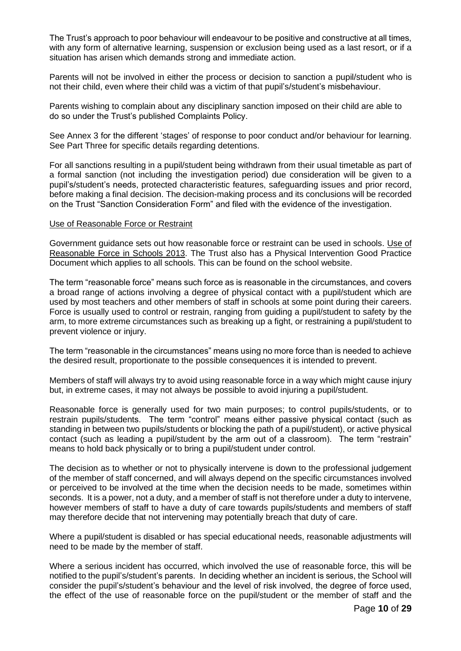The Trust's approach to poor behaviour will endeavour to be positive and constructive at all times, with any form of alternative learning, suspension or exclusion being used as a last resort, or if a situation has arisen which demands strong and immediate action.

Parents will not be involved in either the process or decision to sanction a pupil/student who is not their child, even where their child was a victim of that pupil's/student's misbehaviour.

Parents wishing to complain about any disciplinary sanction imposed on their child are able to do so under the Trust's published Complaints Policy.

See Annex 3 for the different 'stages' of response to poor conduct and/or behaviour for learning. See Part Three for specific details regarding detentions.

For all sanctions resulting in a pupil/student being withdrawn from their usual timetable as part of a formal sanction (not including the investigation period) due consideration will be given to a pupil's/student's needs, protected characteristic features, safeguarding issues and prior record, before making a final decision. The decision-making process and its conclusions will be recorded on the Trust "Sanction Consideration Form" and filed with the evidence of the investigation.

#### Use of Reasonable Force or Restraint

Government guidance sets out how reasonable force or restraint can be used in schools. [Use of](https://www.gov.uk/government/publications/use-of-reasonable-force-in-schools)  [Reasonable Force in Schools 2013.](https://www.gov.uk/government/publications/use-of-reasonable-force-in-schools) The Trust also has a Physical Intervention Good Practice Document which applies to all schools. This can be found on the school website.

The term "reasonable force" means such force as is reasonable in the circumstances, and covers a broad range of actions involving a degree of physical contact with a pupil/student which are used by most teachers and other members of staff in schools at some point during their careers. Force is usually used to control or restrain, ranging from guiding a pupil/student to safety by the arm, to more extreme circumstances such as breaking up a fight, or restraining a pupil/student to prevent violence or injury.

The term "reasonable in the circumstances" means using no more force than is needed to achieve the desired result, proportionate to the possible consequences it is intended to prevent.

Members of staff will always try to avoid using reasonable force in a way which might cause injury but, in extreme cases, it may not always be possible to avoid injuring a pupil/student.

Reasonable force is generally used for two main purposes; to control pupils/students, or to restrain pupils/students. The term "control" means either passive physical contact (such as standing in between two pupils/students or blocking the path of a pupil/student), or active physical contact (such as leading a pupil/student by the arm out of a classroom). The term "restrain" means to hold back physically or to bring a pupil/student under control.

The decision as to whether or not to physically intervene is down to the professional judgement of the member of staff concerned, and will always depend on the specific circumstances involved or perceived to be involved at the time when the decision needs to be made, sometimes within seconds. It is a power, not a duty, and a member of staff is not therefore under a duty to intervene, however members of staff to have a duty of care towards pupils/students and members of staff may therefore decide that not intervening may potentially breach that duty of care.

Where a pupil/student is disabled or has special educational needs, reasonable adjustments will need to be made by the member of staff.

Where a serious incident has occurred, which involved the use of reasonable force, this will be notified to the pupil's/student's parents. In deciding whether an incident is serious, the School will consider the pupil's/student's behaviour and the level of risk involved, the degree of force used, the effect of the use of reasonable force on the pupil/student or the member of staff and the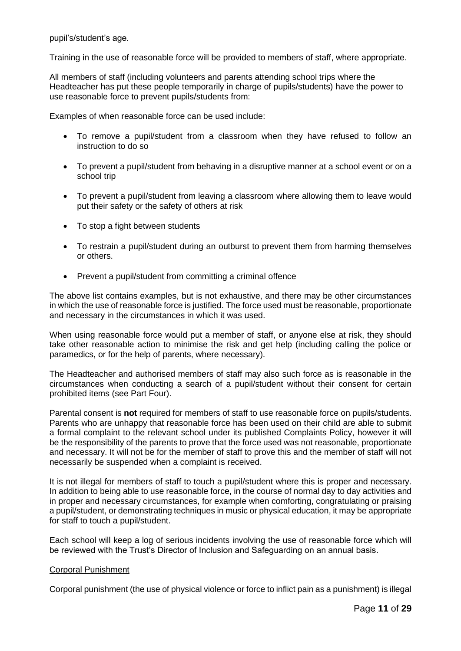pupil's/student's age.

Training in the use of reasonable force will be provided to members of staff, where appropriate.

All members of staff (including volunteers and parents attending school trips where the Headteacher has put these people temporarily in charge of pupils/students) have the power to use reasonable force to prevent pupils/students from:

Examples of when reasonable force can be used include:

- To remove a pupil/student from a classroom when they have refused to follow an instruction to do so
- To prevent a pupil/student from behaving in a disruptive manner at a school event or on a school trip
- To prevent a pupil/student from leaving a classroom where allowing them to leave would put their safety or the safety of others at risk
- To stop a fight between students
- To restrain a pupil/student during an outburst to prevent them from harming themselves or others.
- Prevent a pupil/student from committing a criminal offence

The above list contains examples, but is not exhaustive, and there may be other circumstances in which the use of reasonable force is justified. The force used must be reasonable, proportionate and necessary in the circumstances in which it was used.

When using reasonable force would put a member of staff, or anyone else at risk, they should take other reasonable action to minimise the risk and get help (including calling the police or paramedics, or for the help of parents, where necessary).

The Headteacher and authorised members of staff may also such force as is reasonable in the circumstances when conducting a search of a pupil/student without their consent for certain prohibited items (see Part Four).

Parental consent is **not** required for members of staff to use reasonable force on pupils/students. Parents who are unhappy that reasonable force has been used on their child are able to submit a formal complaint to the relevant school under its published Complaints Policy, however it will be the responsibility of the parents to prove that the force used was not reasonable, proportionate and necessary. It will not be for the member of staff to prove this and the member of staff will not necessarily be suspended when a complaint is received.

It is not illegal for members of staff to touch a pupil/student where this is proper and necessary. In addition to being able to use reasonable force, in the course of normal day to day activities and in proper and necessary circumstances, for example when comforting, congratulating or praising a pupil/student, or demonstrating techniques in music or physical education, it may be appropriate for staff to touch a pupil/student.

Each school will keep a log of serious incidents involving the use of reasonable force which will be reviewed with the Trust's Director of Inclusion and Safeguarding on an annual basis.

#### Corporal Punishment

Corporal punishment (the use of physical violence or force to inflict pain as a punishment) is illegal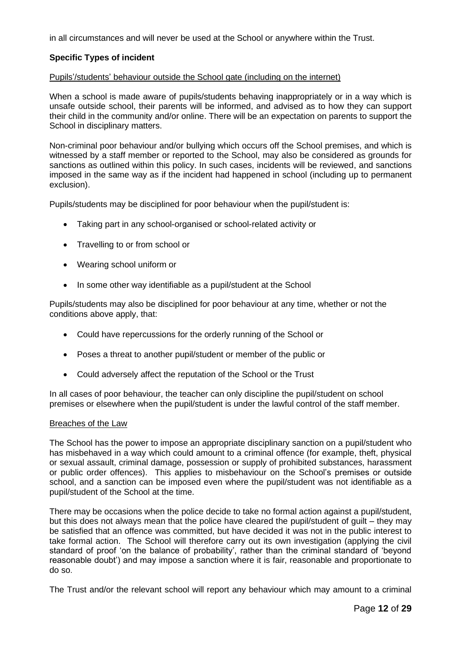in all circumstances and will never be used at the School or anywhere within the Trust.

#### **Specific Types of incident**

#### Pupils'/students' behaviour outside the School gate (including on the internet)

When a school is made aware of pupils/students behaving inappropriately or in a way which is unsafe outside school, their parents will be informed, and advised as to how they can support their child in the community and/or online. There will be an expectation on parents to support the School in disciplinary matters.

Non-criminal poor behaviour and/or bullying which occurs off the School premises, and which is witnessed by a staff member or reported to the School, may also be considered as grounds for sanctions as outlined within this policy. In such cases, incidents will be reviewed, and sanctions imposed in the same way as if the incident had happened in school (including up to permanent exclusion).

Pupils/students may be disciplined for poor behaviour when the pupil/student is:

- Taking part in any school-organised or school-related activity or
- Travelling to or from school or
- Wearing school uniform or
- In some other way identifiable as a pupil/student at the School

Pupils/students may also be disciplined for poor behaviour at any time, whether or not the conditions above apply, that:

- Could have repercussions for the orderly running of the School or
- Poses a threat to another pupil/student or member of the public or
- Could adversely affect the reputation of the School or the Trust

In all cases of poor behaviour, the teacher can only discipline the pupil/student on school premises or elsewhere when the pupil/student is under the lawful control of the staff member.

#### Breaches of the Law

The School has the power to impose an appropriate disciplinary sanction on a pupil/student who has misbehaved in a way which could amount to a criminal offence (for example, theft, physical or sexual assault, criminal damage, possession or supply of prohibited substances, harassment or public order offences). This applies to misbehaviour on the School's premises or outside school, and a sanction can be imposed even where the pupil/student was not identifiable as a pupil/student of the School at the time.

There may be occasions when the police decide to take no formal action against a pupil/student, but this does not always mean that the police have cleared the pupil/student of guilt – they may be satisfied that an offence was committed, but have decided it was not in the public interest to take formal action. The School will therefore carry out its own investigation (applying the civil standard of proof 'on the balance of probability', rather than the criminal standard of 'beyond reasonable doubt') and may impose a sanction where it is fair, reasonable and proportionate to do so.

The Trust and/or the relevant school will report any behaviour which may amount to a criminal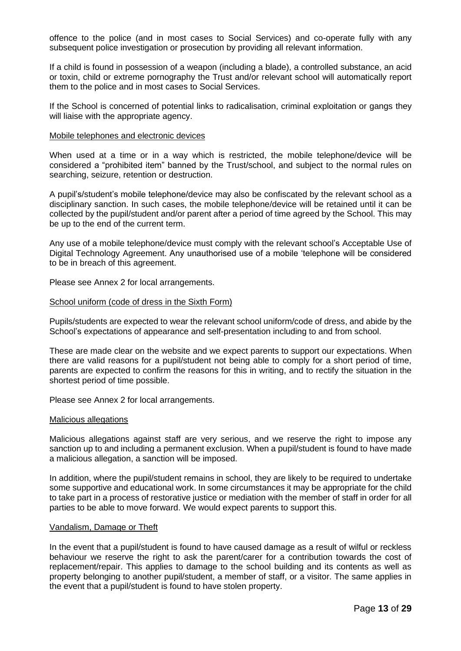offence to the police (and in most cases to Social Services) and co-operate fully with any subsequent police investigation or prosecution by providing all relevant information.

If a child is found in possession of a weapon (including a blade), a controlled substance, an acid or toxin, child or extreme pornography the Trust and/or relevant school will automatically report them to the police and in most cases to Social Services.

If the School is concerned of potential links to radicalisation, criminal exploitation or gangs they will liaise with the appropriate agency.

#### Mobile telephones and electronic devices

When used at a time or in a way which is restricted, the mobile telephone/device will be considered a "prohibited item" banned by the Trust/school, and subject to the normal rules on searching, seizure, retention or destruction.

A pupil's/student's mobile telephone/device may also be confiscated by the relevant school as a disciplinary sanction. In such cases, the mobile telephone/device will be retained until it can be collected by the pupil/student and/or parent after a period of time agreed by the School. This may be up to the end of the current term.

Any use of a mobile telephone/device must comply with the relevant school's Acceptable Use of Digital Technology Agreement. Any unauthorised use of a mobile 'telephone will be considered to be in breach of this agreement.

Please see Annex 2 for local arrangements.

#### School uniform (code of dress in the Sixth Form)

Pupils/students are expected to wear the relevant school uniform/code of dress, and abide by the School's expectations of appearance and self-presentation including to and from school.

These are made clear on the website and we expect parents to support our expectations. When there are valid reasons for a pupil/student not being able to comply for a short period of time, parents are expected to confirm the reasons for this in writing, and to rectify the situation in the shortest period of time possible.

Please see Annex 2 for local arrangements.

#### Malicious allegations

Malicious allegations against staff are very serious, and we reserve the right to impose any sanction up to and including a permanent exclusion. When a pupil/student is found to have made a malicious allegation, a sanction will be imposed.

In addition, where the pupil/student remains in school, they are likely to be required to undertake some supportive and educational work. In some circumstances it may be appropriate for the child to take part in a process of restorative justice or mediation with the member of staff in order for all parties to be able to move forward. We would expect parents to support this.

#### Vandalism, Damage or Theft

In the event that a pupil/student is found to have caused damage as a result of wilful or reckless behaviour we reserve the right to ask the parent/carer for a contribution towards the cost of replacement/repair. This applies to damage to the school building and its contents as well as property belonging to another pupil/student, a member of staff, or a visitor. The same applies in the event that a pupil/student is found to have stolen property.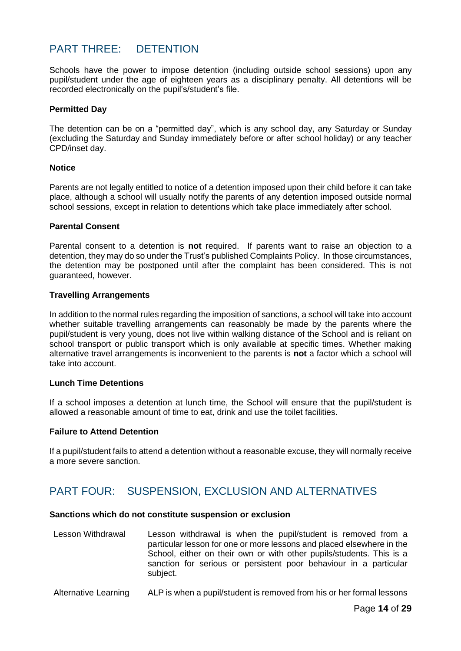### <span id="page-13-0"></span>PART THREE: DETENTION

Schools have the power to impose detention (including outside school sessions) upon any pupil/student under the age of eighteen years as a disciplinary penalty. All detentions will be recorded electronically on the pupil's/student's file.

#### **Permitted Day**

The detention can be on a "permitted day", which is any school day, any Saturday or Sunday (excluding the Saturday and Sunday immediately before or after school holiday) or any teacher CPD/inset day.

#### **Notice**

Parents are not legally entitled to notice of a detention imposed upon their child before it can take place, although a school will usually notify the parents of any detention imposed outside normal school sessions, except in relation to detentions which take place immediately after school.

#### **Parental Consent**

Parental consent to a detention is **not** required. If parents want to raise an objection to a detention, they may do so under the Trust's published Complaints Policy. In those circumstances, the detention may be postponed until after the complaint has been considered. This is not guaranteed, however.

#### **Travelling Arrangements**

In addition to the normal rules regarding the imposition of sanctions, a school will take into account whether suitable travelling arrangements can reasonably be made by the parents where the pupil/student is very young, does not live within walking distance of the School and is reliant on school transport or public transport which is only available at specific times. Whether making alternative travel arrangements is inconvenient to the parents is **not** a factor which a school will take into account.

#### **Lunch Time Detentions**

If a school imposes a detention at lunch time, the School will ensure that the pupil/student is allowed a reasonable amount of time to eat, drink and use the toilet facilities.

#### **Failure to Attend Detention**

If a pupil/student fails to attend a detention without a reasonable excuse, they will normally receive a more severe sanction.

### <span id="page-13-1"></span>PART FOUR: SUSPENSION, EXCLUSION AND ALTERNATIVES

#### **Sanctions which do not constitute suspension or exclusion**

- Lesson Withdrawal Lesson withdrawal is when the pupil/student is removed from a particular lesson for one or more lessons and placed elsewhere in the School, either on their own or with other pupils/students. This is a sanction for serious or persistent poor behaviour in a particular subject.
- Alternative Learning ALP is when a pupil/student is removed from his or her formal lessons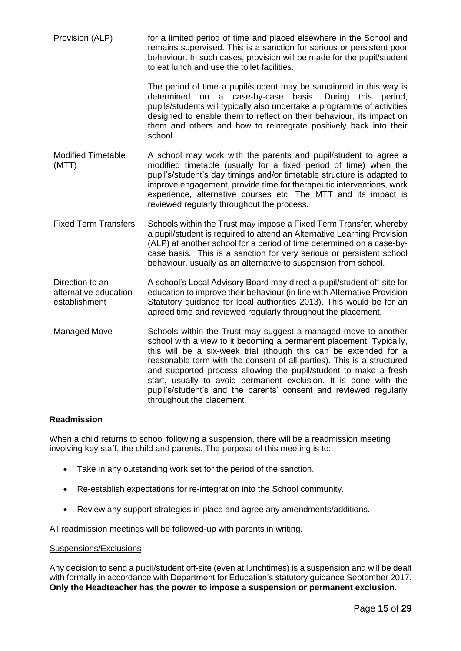Provision (ALP) for a limited period of time and placed elsewhere in the School and remains supervised. This is a sanction for serious or persistent poor behaviour. In such cases, provision will be made for the pupil/student to eat lunch and use the toilet facilities.

> The period of time a pupil/student may be sanctioned in this way is determined on a case-by-case basis. During this period, pupils/students will typically also undertake a programme of activities designed to enable them to reflect on their behaviour, its impact on them and others and how to reintegrate positively back into their school.

- Modified Timetable (MTT) A school may work with the parents and pupil/student to agree a modified timetable (usually for a fixed period of time) when the pupil's/student's day timings and/or timetable structure is adapted to improve engagement, provide time for therapeutic interventions, work experience, alternative courses etc. The MTT and its impact is reviewed regularly throughout the process.
- Fixed Term Transfers Schools within the Trust may impose a Fixed Term Transfer, whereby a pupil/student is required to attend an Alternative Learning Provision (ALP) at another school for a period of time determined on a case-bycase basis. This is a sanction for very serious or persistent school behaviour, usually as an alternative to suspension from school.
- Direction to an alternative education establishment A school's Local Advisory Board may direct a pupil/student off-site for education to improve their behaviour (in line with Alternative Provision Statutory guidance for local authorities 2013). This would be for an agreed time and reviewed regularly throughout the placement.
- Managed Move Schools within the Trust may suggest a managed move to another school with a view to it becoming a permanent placement. Typically, this will be a six-week trial (though this can be extended for a reasonable term with the consent of all parties). This is a structured and supported process allowing the pupil/student to make a fresh start, usually to avoid permanent exclusion. It is done with the pupil's/student's and the parents' consent and reviewed regularly throughout the placement

#### **Readmission**

When a child returns to school following a suspension, there will be a readmission meeting involving key staff, the child and parents. The purpose of this meeting is to:

- Take in any outstanding work set for the period of the sanction.
- Re-establish expectations for re-integration into the School community.
- Review any support strategies in place and agree any amendments/additions.

All readmission meetings will be followed-up with parents in writing.

#### Suspensions/Exclusions

Any decision to send a pupil/student off-site (even at lunchtimes) is a suspension and will be dealt with formally in accordance with [Department for Education's statutory guidance September 2017.](https://www.gov.uk/government/publications/school-exclusion) **Only the Headteacher has the power to impose a suspension or permanent exclusion.**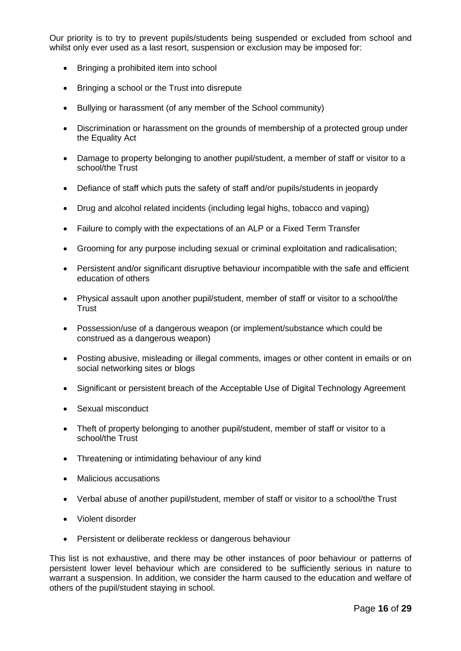Our priority is to try to prevent pupils/students being suspended or excluded from school and whilst only ever used as a last resort, suspension or exclusion may be imposed for:

- Bringing a prohibited item into school
- Bringing a school or the Trust into disrepute
- Bullying or harassment (of any member of the School community)
- Discrimination or harassment on the grounds of membership of a protected group under the Equality Act
- Damage to property belonging to another pupil/student, a member of staff or visitor to a school/the Trust
- Defiance of staff which puts the safety of staff and/or pupils/students in jeopardy
- Drug and alcohol related incidents (including legal highs, tobacco and vaping)
- Failure to comply with the expectations of an ALP or a Fixed Term Transfer
- Grooming for any purpose including sexual or criminal exploitation and radicalisation;
- Persistent and/or significant disruptive behaviour incompatible with the safe and efficient education of others
- Physical assault upon another pupil/student, member of staff or visitor to a school/the **Trust**
- Possession/use of a dangerous weapon (or implement/substance which could be construed as a dangerous weapon)
- Posting abusive, misleading or illegal comments, images or other content in emails or on social networking sites or blogs
- Significant or persistent breach of the Acceptable Use of Digital Technology Agreement
- Sexual misconduct
- Theft of property belonging to another pupil/student, member of staff or visitor to a school/the Trust
- Threatening or intimidating behaviour of any kind
- Malicious accusations
- Verbal abuse of another pupil/student, member of staff or visitor to a school/the Trust
- Violent disorder
- Persistent or deliberate reckless or dangerous behaviour

This list is not exhaustive, and there may be other instances of poor behaviour or patterns of persistent lower level behaviour which are considered to be sufficiently serious in nature to warrant a suspension. In addition, we consider the harm caused to the education and welfare of others of the pupil/student staying in school.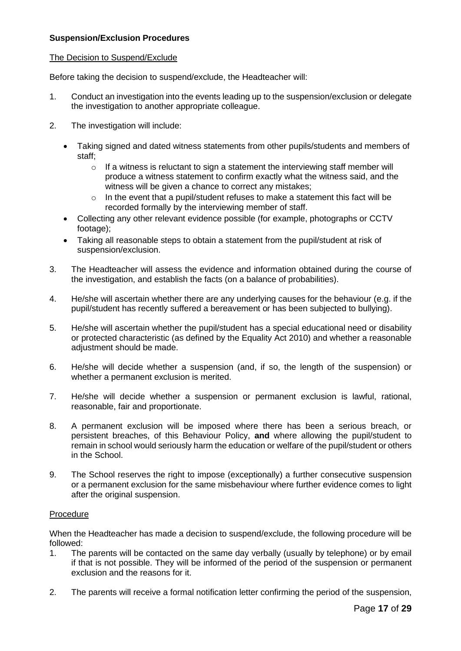#### **Suspension/Exclusion Procedures**

#### The Decision to Suspend/Exclude

Before taking the decision to suspend/exclude, the Headteacher will:

- 1. Conduct an investigation into the events leading up to the suspension/exclusion or delegate the investigation to another appropriate colleague.
- 2. The investigation will include:
	- Taking signed and dated witness statements from other pupils/students and members of staff;
		- $\circ$  If a witness is reluctant to sign a statement the interviewing staff member will produce a witness statement to confirm exactly what the witness said, and the witness will be given a chance to correct any mistakes;
		- $\circ$  In the event that a pupil/student refuses to make a statement this fact will be recorded formally by the interviewing member of staff.
	- Collecting any other relevant evidence possible (for example, photographs or CCTV footage);
	- Taking all reasonable steps to obtain a statement from the pupil/student at risk of suspension/exclusion.
- 3. The Headteacher will assess the evidence and information obtained during the course of the investigation, and establish the facts (on a balance of probabilities).
- 4. He/she will ascertain whether there are any underlying causes for the behaviour (e.g. if the pupil/student has recently suffered a bereavement or has been subjected to bullying).
- 5. He/she will ascertain whether the pupil/student has a special educational need or disability or protected characteristic (as defined by the Equality Act 2010) and whether a reasonable adjustment should be made.
- 6. He/she will decide whether a suspension (and, if so, the length of the suspension) or whether a permanent exclusion is merited.
- 7. He/she will decide whether a suspension or permanent exclusion is lawful, rational, reasonable, fair and proportionate.
- 8. A permanent exclusion will be imposed where there has been a serious breach, or persistent breaches, of this Behaviour Policy, **and** where allowing the pupil/student to remain in school would seriously harm the education or welfare of the pupil/student or others in the School.
- 9. The School reserves the right to impose (exceptionally) a further consecutive suspension or a permanent exclusion for the same misbehaviour where further evidence comes to light after the original suspension.

#### Procedure

When the Headteacher has made a decision to suspend/exclude, the following procedure will be followed:

- 1. The parents will be contacted on the same day verbally (usually by telephone) or by email if that is not possible. They will be informed of the period of the suspension or permanent exclusion and the reasons for it.
- 2. The parents will receive a formal notification letter confirming the period of the suspension,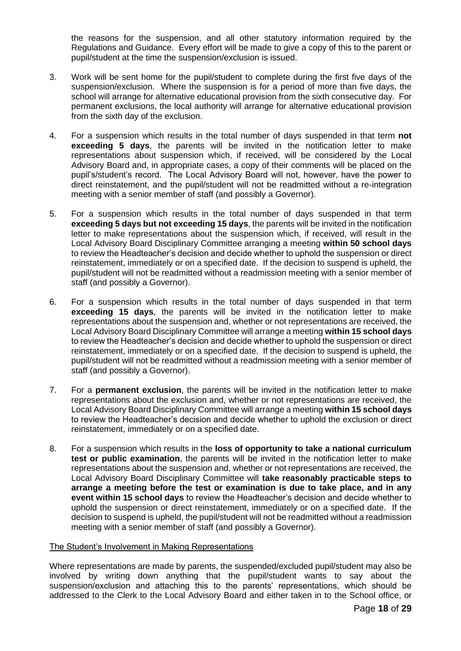the reasons for the suspension, and all other statutory information required by the Regulations and Guidance. Every effort will be made to give a copy of this to the parent or pupil/student at the time the suspension/exclusion is issued.

- 3. Work will be sent home for the pupil/student to complete during the first five days of the suspension/exclusion. Where the suspension is for a period of more than five days, the school will arrange for alternative educational provision from the sixth consecutive day. For permanent exclusions, the local authority will arrange for alternative educational provision from the sixth day of the exclusion.
- 4. For a suspension which results in the total number of days suspended in that term **not exceeding 5 days**, the parents will be invited in the notification letter to make representations about suspension which, if received, will be considered by the Local Advisory Board and, in appropriate cases, a copy of their comments will be placed on the pupil's/student's record. The Local Advisory Board will not, however, have the power to direct reinstatement, and the pupil/student will not be readmitted without a re-integration meeting with a senior member of staff (and possibly a Governor).
- 5. For a suspension which results in the total number of days suspended in that term **exceeding 5 days but not exceeding 15 days**, the parents will be invited in the notification letter to make representations about the suspension which, if received, will result in the Local Advisory Board Disciplinary Committee arranging a meeting **within 50 school days** to review the Headteacher's decision and decide whether to uphold the suspension or direct reinstatement, immediately or on a specified date. If the decision to suspend is upheld, the pupil/student will not be readmitted without a readmission meeting with a senior member of staff (and possibly a Governor).
- 6. For a suspension which results in the total number of days suspended in that term **exceeding 15 days**, the parents will be invited in the notification letter to make representations about the suspension and, whether or not representations are received, the Local Advisory Board Disciplinary Committee will arrange a meeting **within 15 school days** to review the Headteacher's decision and decide whether to uphold the suspension or direct reinstatement, immediately or on a specified date. If the decision to suspend is upheld, the pupil/student will not be readmitted without a readmission meeting with a senior member of staff (and possibly a Governor).
- 7. For a **permanent exclusion**, the parents will be invited in the notification letter to make representations about the exclusion and, whether or not representations are received, the Local Advisory Board Disciplinary Committee will arrange a meeting **within 15 school days** to review the Headteacher's decision and decide whether to uphold the exclusion or direct reinstatement, immediately or on a specified date.
- 8. For a suspension which results in the **loss of opportunity to take a national curriculum test or public examination**, the parents will be invited in the notification letter to make representations about the suspension and, whether or not representations are received, the Local Advisory Board Disciplinary Committee will **take reasonably practicable steps to arrange a meeting before the test or examination is due to take place, and in any event within 15 school days** to review the Headteacher's decision and decide whether to uphold the suspension or direct reinstatement, immediately or on a specified date. If the decision to suspend is upheld, the pupil/student will not be readmitted without a readmission meeting with a senior member of staff (and possibly a Governor).

#### The Student's Involvement in Making Representations

Where representations are made by parents, the suspended/excluded pupil/student may also be involved by writing down anything that the pupil/student wants to say about the suspension/exclusion and attaching this to the parents' representations, which should be addressed to the Clerk to the Local Advisory Board and either taken in to the School office, or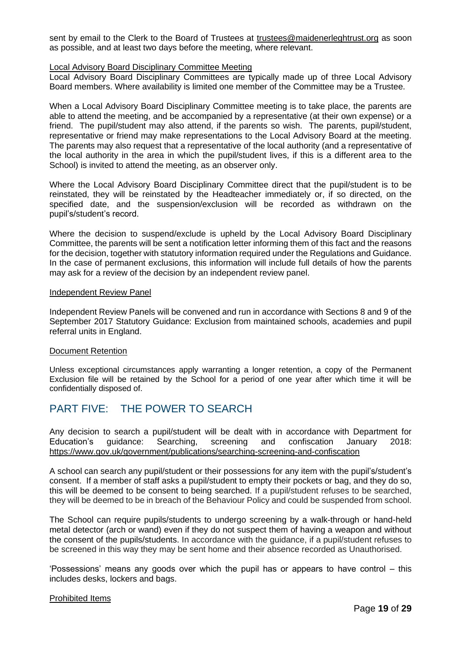sent by email to the Clerk to the Board of Trustees at [trustees@maidenerleghtrust.org](mailto:trustees@maidenerleghtrust.org) as soon as possible, and at least two days before the meeting, where relevant.

#### Local Advisory Board Disciplinary Committee Meeting

Local Advisory Board Disciplinary Committees are typically made up of three Local Advisory Board members. Where availability is limited one member of the Committee may be a Trustee.

When a Local Advisory Board Disciplinary Committee meeting is to take place, the parents are able to attend the meeting, and be accompanied by a representative (at their own expense) or a friend. The pupil/student may also attend, if the parents so wish. The parents, pupil/student, representative or friend may make representations to the Local Advisory Board at the meeting. The parents may also request that a representative of the local authority (and a representative of the local authority in the area in which the pupil/student lives, if this is a different area to the School) is invited to attend the meeting, as an observer only.

Where the Local Advisory Board Disciplinary Committee direct that the pupil/student is to be reinstated, they will be reinstated by the Headteacher immediately or, if so directed, on the specified date, and the suspension/exclusion will be recorded as withdrawn on the pupil's/student's record.

Where the decision to suspend/exclude is upheld by the Local Advisory Board Disciplinary Committee, the parents will be sent a notification letter informing them of this fact and the reasons for the decision, together with statutory information required under the Regulations and Guidance. In the case of permanent exclusions, this information will include full details of how the parents may ask for a review of the decision by an independent review panel.

#### Independent Review Panel

Independent Review Panels will be convened and run in accordance with Sections 8 and 9 of the September 2017 Statutory Guidance: Exclusion from maintained schools, academies and pupil referral units in England.

#### Document Retention

Unless exceptional circumstances apply warranting a longer retention, a copy of the Permanent Exclusion file will be retained by the School for a period of one year after which time it will be confidentially disposed of.

## <span id="page-18-0"></span>PART FIVE: THE POWER TO SEARCH

Any decision to search a pupil/student will be dealt with in accordance with Department for Education's guidance: Searching, screening and confiscation January 2018: <https://www.gov.uk/government/publications/searching-screening-and-confiscation>

A school can search any pupil/student or their possessions for any item with the pupil's/student's consent. If a member of staff asks a pupil/student to empty their pockets or bag, and they do so, this will be deemed to be consent to being searched. If a pupil/student refuses to be searched, they will be deemed to be in breach of the Behaviour Policy and could be suspended from school.

The School can require pupils/students to undergo screening by a walk-through or hand-held metal detector (arch or wand) even if they do not suspect them of having a weapon and without the consent of the pupils/students. In accordance with the guidance, if a pupil/student refuses to be screened in this way they may be sent home and their absence recorded as Unauthorised.

'Possessions' means any goods over which the pupil has or appears to have control – this includes desks, lockers and bags.

#### Prohibited Items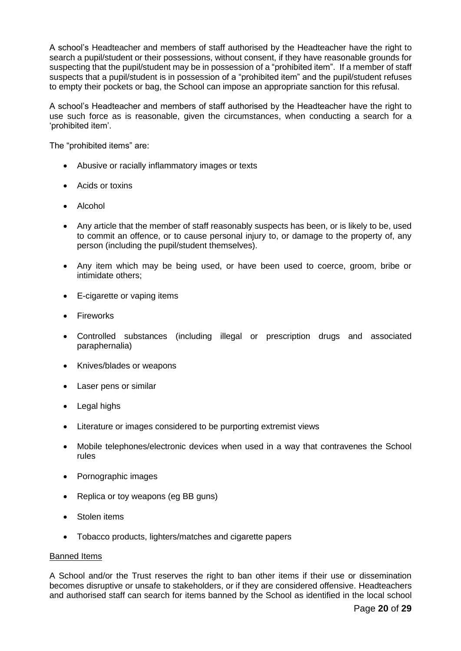A school's Headteacher and members of staff authorised by the Headteacher have the right to search a pupil/student or their possessions, without consent, if they have reasonable grounds for suspecting that the pupil/student may be in possession of a "prohibited item". If a member of staff suspects that a pupil/student is in possession of a "prohibited item" and the pupil/student refuses to empty their pockets or bag, the School can impose an appropriate sanction for this refusal.

A school's Headteacher and members of staff authorised by the Headteacher have the right to use such force as is reasonable, given the circumstances, when conducting a search for a 'prohibited item'.

The "prohibited items" are:

- Abusive or racially inflammatory images or texts
- Acids or toxins
- Alcohol
- Any article that the member of staff reasonably suspects has been, or is likely to be, used to commit an offence, or to cause personal injury to, or damage to the property of, any person (including the pupil/student themselves).
- Any item which may be being used, or have been used to coerce, groom, bribe or intimidate others;
- E-cigarette or vaping items
- **Fireworks**
- Controlled substances (including illegal or prescription drugs and associated paraphernalia)
- Knives/blades or weapons
- Laser pens or similar
- Legal highs
- Literature or images considered to be purporting extremist views
- Mobile telephones/electronic devices when used in a way that contravenes the School rules
- Pornographic images
- Replica or toy weapons (eg BB guns)
- Stolen items
- Tobacco products, lighters/matches and cigarette papers

#### Banned Items

A School and/or the Trust reserves the right to ban other items if their use or dissemination becomes disruptive or unsafe to stakeholders, or if they are considered offensive. Headteachers and authorised staff can search for items banned by the School as identified in the local school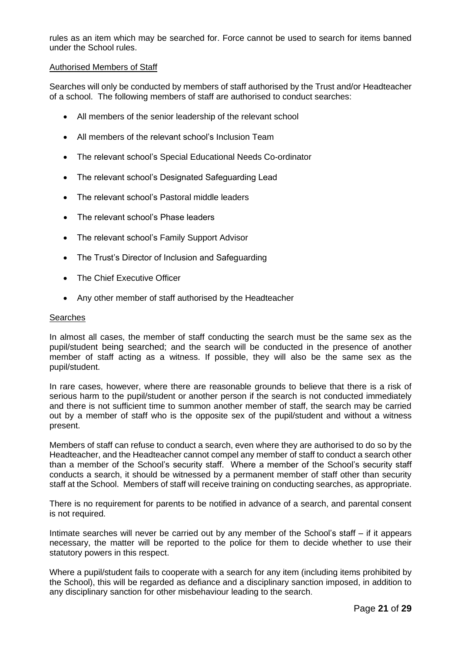rules as an item which may be searched for. Force cannot be used to search for items banned under the School rules.

#### Authorised Members of Staff

Searches will only be conducted by members of staff authorised by the Trust and/or Headteacher of a school. The following members of staff are authorised to conduct searches:

- All members of the senior leadership of the relevant school
- All members of the relevant school's Inclusion Team
- The relevant school's Special Educational Needs Co-ordinator
- The relevant school's Designated Safeguarding Lead
- The relevant school's Pastoral middle leaders
- The relevant school's Phase leaders
- The relevant school's Family Support Advisor
- The Trust's Director of Inclusion and Safeguarding
- **The Chief Executive Officer**
- Any other member of staff authorised by the Headteacher

#### **Searches**

In almost all cases, the member of staff conducting the search must be the same sex as the pupil/student being searched; and the search will be conducted in the presence of another member of staff acting as a witness. If possible, they will also be the same sex as the pupil/student.

In rare cases, however, where there are reasonable grounds to believe that there is a risk of serious harm to the pupil/student or another person if the search is not conducted immediately and there is not sufficient time to summon another member of staff, the search may be carried out by a member of staff who is the opposite sex of the pupil/student and without a witness present.

Members of staff can refuse to conduct a search, even where they are authorised to do so by the Headteacher, and the Headteacher cannot compel any member of staff to conduct a search other than a member of the School's security staff. Where a member of the School's security staff conducts a search, it should be witnessed by a permanent member of staff other than security staff at the School. Members of staff will receive training on conducting searches, as appropriate.

There is no requirement for parents to be notified in advance of a search, and parental consent is not required.

Intimate searches will never be carried out by any member of the School's staff – if it appears necessary, the matter will be reported to the police for them to decide whether to use their statutory powers in this respect.

Where a pupil/student fails to cooperate with a search for any item (including items prohibited by the School), this will be regarded as defiance and a disciplinary sanction imposed, in addition to any disciplinary sanction for other misbehaviour leading to the search.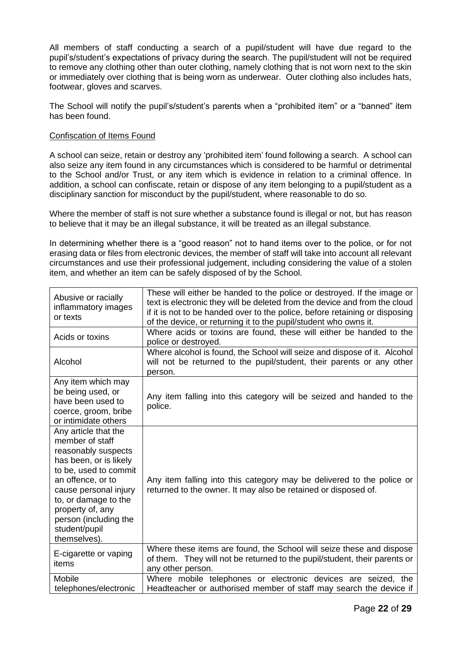All members of staff conducting a search of a pupil/student will have due regard to the pupil's/student's expectations of privacy during the search. The pupil/student will not be required to remove any clothing other than outer clothing, namely clothing that is not worn next to the skin or immediately over clothing that is being worn as underwear. Outer clothing also includes hats, footwear, gloves and scarves.

The School will notify the pupil's/student's parents when a "prohibited item" or a "banned" item has been found.

#### Confiscation of Items Found

A school can seize, retain or destroy any 'prohibited item' found following a search. A school can also seize any item found in any circumstances which is considered to be harmful or detrimental to the School and/or Trust, or any item which is evidence in relation to a criminal offence. In addition, a school can confiscate, retain or dispose of any item belonging to a pupil/student as a disciplinary sanction for misconduct by the pupil/student, where reasonable to do so.

Where the member of staff is not sure whether a substance found is illegal or not, but has reason to believe that it may be an illegal substance, it will be treated as an illegal substance.

In determining whether there is a "good reason" not to hand items over to the police, or for not erasing data or files from electronic devices, the member of staff will take into account all relevant circumstances and use their professional judgement, including considering the value of a stolen item, and whether an item can be safely disposed of by the School.

| Abusive or racially<br>inflammatory images<br>or texts                                                                                                                                                                                                                | These will either be handed to the police or destroyed. If the image or<br>text is electronic they will be deleted from the device and from the cloud<br>if it is not to be handed over to the police, before retaining or disposing<br>of the device, or returning it to the pupil/student who owns it. |
|-----------------------------------------------------------------------------------------------------------------------------------------------------------------------------------------------------------------------------------------------------------------------|----------------------------------------------------------------------------------------------------------------------------------------------------------------------------------------------------------------------------------------------------------------------------------------------------------|
| Acids or toxins                                                                                                                                                                                                                                                       | Where acids or toxins are found, these will either be handed to the<br>police or destroyed.                                                                                                                                                                                                              |
| Alcohol                                                                                                                                                                                                                                                               | Where alcohol is found, the School will seize and dispose of it. Alcohol<br>will not be returned to the pupil/student, their parents or any other<br>person.                                                                                                                                             |
| Any item which may<br>be being used, or<br>have been used to<br>coerce, groom, bribe<br>or intimidate others                                                                                                                                                          | Any item falling into this category will be seized and handed to the<br>police.                                                                                                                                                                                                                          |
| Any article that the<br>member of staff<br>reasonably suspects<br>has been, or is likely<br>to be, used to commit<br>an offence, or to<br>cause personal injury<br>to, or damage to the<br>property of, any<br>person (including the<br>student/pupil<br>themselves). | Any item falling into this category may be delivered to the police or<br>returned to the owner. It may also be retained or disposed of.                                                                                                                                                                  |
| E-cigarette or vaping<br>items                                                                                                                                                                                                                                        | Where these items are found, the School will seize these and dispose<br>of them. They will not be returned to the pupil/student, their parents or<br>any other person.                                                                                                                                   |
| Mobile<br>telephones/electronic                                                                                                                                                                                                                                       | Where mobile telephones or electronic devices are seized, the<br>Headteacher or authorised member of staff may search the device if                                                                                                                                                                      |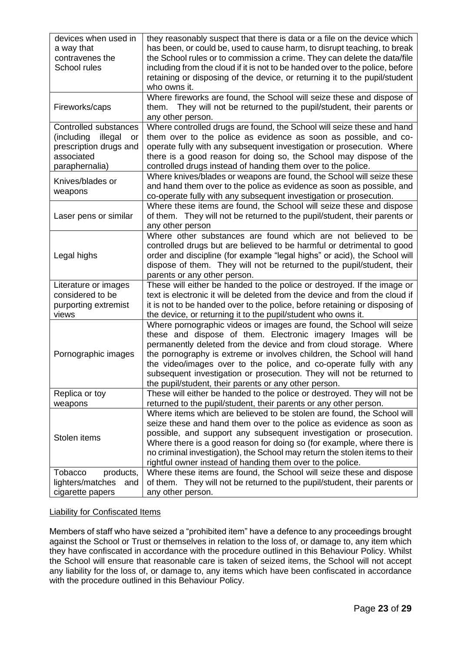| devices when used in<br>they reasonably suspect that there is data or a file on the device which     |  |
|------------------------------------------------------------------------------------------------------|--|
| has been, or could be, used to cause harm, to disrupt teaching, to break<br>a way that               |  |
| the School rules or to commission a crime. They can delete the data/file<br>contravenes the          |  |
| including from the cloud if it is not to be handed over to the police, before<br>School rules        |  |
| retaining or disposing of the device, or returning it to the pupil/student                           |  |
| who owns it.                                                                                         |  |
| Where fireworks are found, the School will seize these and dispose of                                |  |
| Fireworks/caps<br>They will not be returned to the pupil/student, their parents or<br>them.          |  |
| any other person.                                                                                    |  |
| Where controlled drugs are found, the School will seize these and hand<br>Controlled substances      |  |
| them over to the police as evidence as soon as possible, and co-<br>illegal<br>(including<br>or      |  |
| operate fully with any subsequent investigation or prosecution. Where<br>prescription drugs and      |  |
| associated<br>there is a good reason for doing so, the School may dispose of the                     |  |
| controlled drugs instead of handing them over to the police.<br>paraphernalia)                       |  |
| Where knives/blades or weapons are found, the School will seize these                                |  |
| Knives/blades or<br>and hand them over to the police as evidence as soon as possible, and            |  |
| weapons<br>co-operate fully with any subsequent investigation or prosecution.                        |  |
| Where these items are found, the School will seize these and dispose                                 |  |
| of them. They will not be returned to the pupil/student, their parents or<br>Laser pens or similar   |  |
| any other person                                                                                     |  |
| Where other substances are found which are not believed to be                                        |  |
| controlled drugs but are believed to be harmful or detrimental to good                               |  |
| order and discipline (for example "legal highs" or acid), the School will<br>Legal highs             |  |
| dispose of them. They will not be returned to the pupil/student, their                               |  |
| parents or any other person.                                                                         |  |
| These will either be handed to the police or destroyed. If the image or<br>Literature or images      |  |
| considered to be<br>text is electronic it will be deleted from the device and from the cloud if      |  |
| it is not to be handed over to the police, before retaining or disposing of<br>purporting extremist  |  |
| the device, or returning it to the pupil/student who owns it.<br>views                               |  |
| Where pornographic videos or images are found, the School will seize                                 |  |
| these and dispose of them. Electronic imagery Images will be                                         |  |
| permanently deleted from the device and from cloud storage. Where                                    |  |
| the pornography is extreme or involves children, the School will hand<br>Pornographic images         |  |
| the video/images over to the police, and co-operate fully with any                                   |  |
| subsequent investigation or prosecution. They will not be returned to                                |  |
| the pupil/student, their parents or any other person.                                                |  |
| These will either be handed to the police or destroyed. They will not be<br>Replica or toy           |  |
| returned to the pupil/student, their parents or any other person.<br>weapons                         |  |
| Where items which are believed to be stolen are found, the School will                               |  |
| seize these and hand them over to the police as evidence as soon as                                  |  |
| possible, and support any subsequent investigation or prosecution.<br>Stolen items                   |  |
| Where there is a good reason for doing so (for example, where there is                               |  |
| no criminal investigation), the School may return the stolen items to their                          |  |
| rightful owner instead of handing them over to the police.                                           |  |
| Where these items are found, the School will seize these and dispose<br><b>Tobacco</b><br>products,  |  |
| of them. They will not be returned to the pupil/student, their parents or<br>lighters/matches<br>and |  |
| any other person.<br>cigarette papers                                                                |  |

#### Liability for Confiscated Items

Members of staff who have seized a "prohibited item" have a defence to any proceedings brought against the School or Trust or themselves in relation to the loss of, or damage to, any item which they have confiscated in accordance with the procedure outlined in this Behaviour Policy. Whilst the School will ensure that reasonable care is taken of seized items, the School will not accept any liability for the loss of, or damage to, any items which have been confiscated in accordance with the procedure outlined in this Behaviour Policy.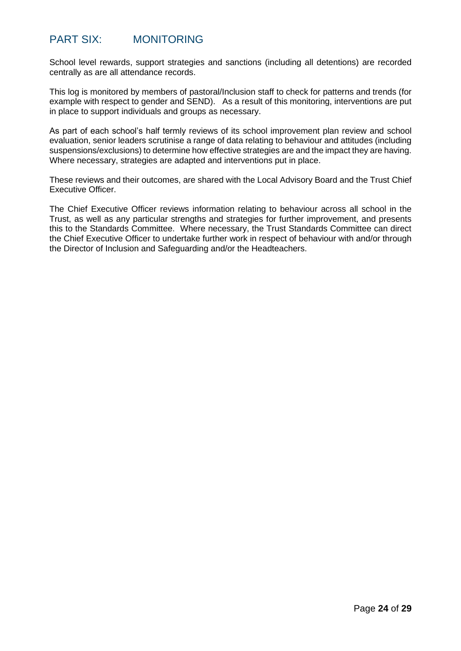## <span id="page-23-0"></span>PART SIX: MONITORING

School level rewards, support strategies and sanctions (including all detentions) are recorded centrally as are all attendance records.

This log is monitored by members of pastoral/Inclusion staff to check for patterns and trends (for example with respect to gender and SEND). As a result of this monitoring, interventions are put in place to support individuals and groups as necessary.

As part of each school's half termly reviews of its school improvement plan review and school evaluation, senior leaders scrutinise a range of data relating to behaviour and attitudes (including suspensions/exclusions) to determine how effective strategies are and the impact they are having. Where necessary, strategies are adapted and interventions put in place.

These reviews and their outcomes, are shared with the Local Advisory Board and the Trust Chief Executive Officer.

The Chief Executive Officer reviews information relating to behaviour across all school in the Trust, as well as any particular strengths and strategies for further improvement, and presents this to the Standards Committee. Where necessary, the Trust Standards Committee can direct the Chief Executive Officer to undertake further work in respect of behaviour with and/or through the Director of Inclusion and Safeguarding and/or the Headteachers.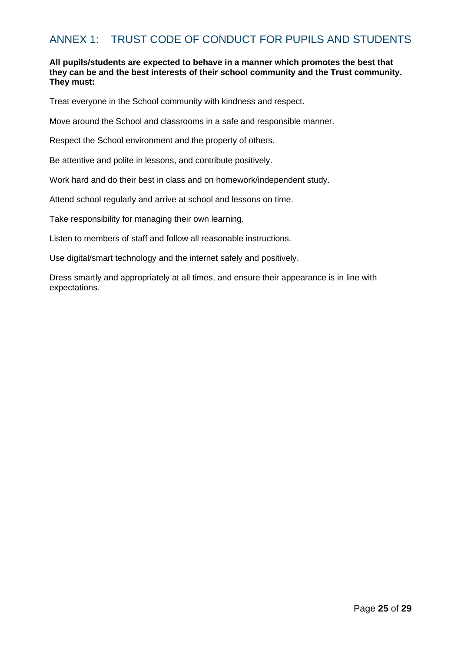## <span id="page-24-0"></span>ANNEX 1: TRUST CODE OF CONDUCT FOR PUPILS AND STUDENTS

#### **All pupils/students are expected to behave in a manner which promotes the best that they can be and the best interests of their school community and the Trust community. They must:**

Treat everyone in the School community with kindness and respect.

Move around the School and classrooms in a safe and responsible manner.

Respect the School environment and the property of others.

Be attentive and polite in lessons, and contribute positively.

Work hard and do their best in class and on homework/independent study.

Attend school regularly and arrive at school and lessons on time.

Take responsibility for managing their own learning.

Listen to members of staff and follow all reasonable instructions.

Use digital/smart technology and the internet safely and positively.

Dress smartly and appropriately at all times, and ensure their appearance is in line with expectations.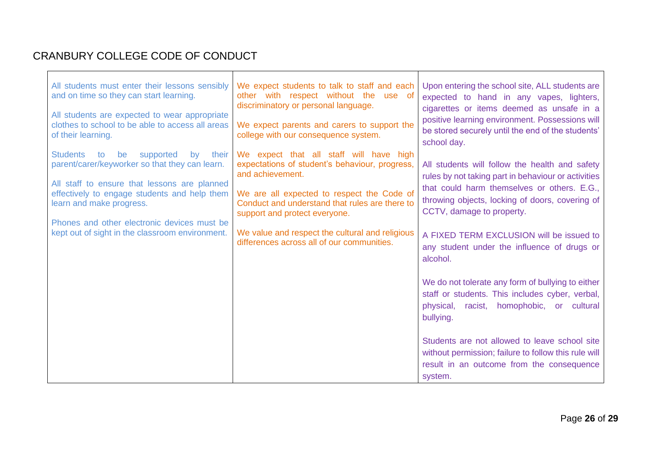## CRANBURY COLLEGE CODE OF CONDUCT

<span id="page-25-0"></span>

| All students must enter their lessons sensibly<br>and on time so they can start learning.<br>All students are expected to wear appropriate<br>clothes to school to be able to access all areas<br>of their learning.                                                                                                                     | We expect students to talk to staff and each<br>other with respect without the use of<br>discriminatory or personal language.<br>We expect parents and carers to support the<br>college with our consequence system.                                                                                                                            | Upon entering the school site, ALL students are<br>expected to hand in any vapes, lighters,<br>cigarettes or items deemed as unsafe in a<br>positive learning environment. Possessions will<br>be stored securely until the end of the students'<br>school day.                                                                                                                                                                                                                                                                                                                                                                                                                |
|------------------------------------------------------------------------------------------------------------------------------------------------------------------------------------------------------------------------------------------------------------------------------------------------------------------------------------------|-------------------------------------------------------------------------------------------------------------------------------------------------------------------------------------------------------------------------------------------------------------------------------------------------------------------------------------------------|--------------------------------------------------------------------------------------------------------------------------------------------------------------------------------------------------------------------------------------------------------------------------------------------------------------------------------------------------------------------------------------------------------------------------------------------------------------------------------------------------------------------------------------------------------------------------------------------------------------------------------------------------------------------------------|
| be<br>supported<br><b>Students</b><br>by<br>their<br>to:<br>parent/carer/keyworker so that they can learn.<br>All staff to ensure that lessons are planned<br>effectively to engage students and help them<br>learn and make progress.<br>Phones and other electronic devices must be<br>kept out of sight in the classroom environment. | We expect that all staff will have high<br>expectations of student's behaviour, progress,<br>and achievement.<br>We are all expected to respect the Code of<br>Conduct and understand that rules are there to<br>support and protect everyone.<br>We value and respect the cultural and religious<br>differences across all of our communities. | All students will follow the health and safety<br>rules by not taking part in behaviour or activities<br>that could harm themselves or others. E.G.,<br>throwing objects, locking of doors, covering of<br>CCTV, damage to property.<br>A FIXED TERM EXCLUSION will be issued to<br>any student under the influence of drugs or<br>alcohol.<br>We do not tolerate any form of bullying to either<br>staff or students. This includes cyber, verbal,<br>physical, racist, homophobic, or cultural<br>bullying.<br>Students are not allowed to leave school site<br>without permission; failure to follow this rule will<br>result in an outcome from the consequence<br>system. |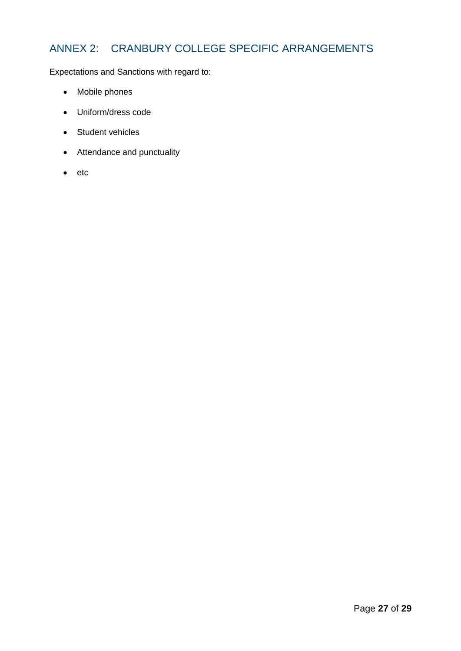## <span id="page-26-0"></span>ANNEX 2: CRANBURY COLLEGE SPECIFIC ARRANGEMENTS

Expectations and Sanctions with regard to:

- Mobile phones
- Uniform/dress code
- Student vehicles
- Attendance and punctuality
- etc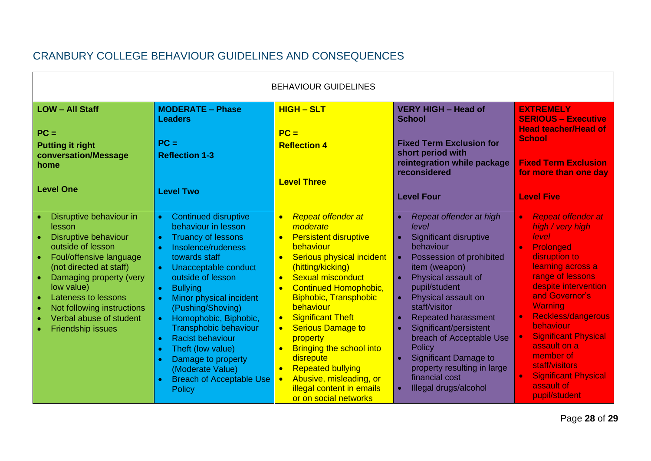## CRANBURY COLLEGE BEHAVIOUR GUIDELINES AND CONSEQUENCES

| <b>BEHAVIOUR GUIDELINES</b>                                                                                                                                                                                                                                                                      |                                                                                                                                                                                                                                                                                                                                                                                                                                                                         |                                                                                                                                                                                                                                                                                                                                                                                                                                                                                                                                                                                                            |                                                                                                                                                                                                                                                                                                                                                                                                                                                                   |                                                                                                                                                                                                                                                                                                                                                                   |
|--------------------------------------------------------------------------------------------------------------------------------------------------------------------------------------------------------------------------------------------------------------------------------------------------|-------------------------------------------------------------------------------------------------------------------------------------------------------------------------------------------------------------------------------------------------------------------------------------------------------------------------------------------------------------------------------------------------------------------------------------------------------------------------|------------------------------------------------------------------------------------------------------------------------------------------------------------------------------------------------------------------------------------------------------------------------------------------------------------------------------------------------------------------------------------------------------------------------------------------------------------------------------------------------------------------------------------------------------------------------------------------------------------|-------------------------------------------------------------------------------------------------------------------------------------------------------------------------------------------------------------------------------------------------------------------------------------------------------------------------------------------------------------------------------------------------------------------------------------------------------------------|-------------------------------------------------------------------------------------------------------------------------------------------------------------------------------------------------------------------------------------------------------------------------------------------------------------------------------------------------------------------|
| <b>LOW - All Staff</b>                                                                                                                                                                                                                                                                           | <b>MODERATE - Phase</b><br><b>Leaders</b>                                                                                                                                                                                                                                                                                                                                                                                                                               | <b>HIGH - SLT</b>                                                                                                                                                                                                                                                                                                                                                                                                                                                                                                                                                                                          | <b>VERY HIGH - Head of</b><br><b>School</b>                                                                                                                                                                                                                                                                                                                                                                                                                       | <b>EXTREMELY</b><br><b>SERIOUS - Executive</b>                                                                                                                                                                                                                                                                                                                    |
| $PC =$<br><b>Putting it right</b>                                                                                                                                                                                                                                                                | $PC =$                                                                                                                                                                                                                                                                                                                                                                                                                                                                  | $PC =$<br><b>Reflection 4</b>                                                                                                                                                                                                                                                                                                                                                                                                                                                                                                                                                                              | <b>Fixed Term Exclusion for</b>                                                                                                                                                                                                                                                                                                                                                                                                                                   | <b>Head teacher/Head of</b><br><b>School</b>                                                                                                                                                                                                                                                                                                                      |
| conversation/Message<br>home                                                                                                                                                                                                                                                                     | <b>Reflection 1-3</b>                                                                                                                                                                                                                                                                                                                                                                                                                                                   |                                                                                                                                                                                                                                                                                                                                                                                                                                                                                                                                                                                                            | short period with<br>reintegration while package                                                                                                                                                                                                                                                                                                                                                                                                                  | <b>Fixed Term Exclusion</b>                                                                                                                                                                                                                                                                                                                                       |
| <b>Level One</b>                                                                                                                                                                                                                                                                                 | <b>Level Two</b>                                                                                                                                                                                                                                                                                                                                                                                                                                                        | <b>Level Three</b>                                                                                                                                                                                                                                                                                                                                                                                                                                                                                                                                                                                         | reconsidered                                                                                                                                                                                                                                                                                                                                                                                                                                                      | for more than one day                                                                                                                                                                                                                                                                                                                                             |
|                                                                                                                                                                                                                                                                                                  |                                                                                                                                                                                                                                                                                                                                                                                                                                                                         |                                                                                                                                                                                                                                                                                                                                                                                                                                                                                                                                                                                                            | <b>Level Four</b>                                                                                                                                                                                                                                                                                                                                                                                                                                                 | <b>Level Five</b>                                                                                                                                                                                                                                                                                                                                                 |
| Disruptive behaviour in<br>lesson<br><b>Disruptive behaviour</b><br>outside of lesson<br>Foul/offensive language<br>(not directed at staff)<br>Damaging property (very<br>low value)<br>Lateness to lessons<br>Not following instructions<br>Verbal abuse of student<br><b>Friendship issues</b> | <b>Continued disruptive</b><br>behaviour in lesson<br><b>Truancy of lessons</b><br>Insolence/rudeness<br>$\bullet$<br>towards staff<br>Unacceptable conduct<br>outside of lesson<br><b>Bullying</b><br>Minor physical incident<br>(Pushing/Shoving)<br>Homophobic, Biphobic,<br>$\bullet$<br><b>Transphobic behaviour</b><br><b>Racist behaviour</b><br>Theft (low value)<br>Damage to property<br>(Moderate Value)<br><b>Breach of Acceptable Use</b><br><b>Policy</b> | <b>Repeat offender at</b><br>$\bullet$<br>moderate<br><b>Persistent disruptive</b><br>$\bullet$<br>behaviour<br>Serious physical incident<br>$\bullet$<br>(hitting/kicking)<br><b>Sexual misconduct</b><br>$\bullet$<br><b>Continued Homophobic,</b><br>$\bullet$<br><b>Biphobic, Transphobic</b><br>behaviour<br><b>Significant Theft</b><br>$\bullet$<br><b>Serious Damage to</b><br>$\bullet$<br>property<br><b>Bringing the school into</b><br>$\bullet$<br>disrepute<br><b>Repeated bullying</b><br>$\bullet$<br>Abusive, misleading, or<br><b>illegal content in emails</b><br>or on social networks | Repeat offender at high<br>level<br><b>Significant disruptive</b><br>$\bullet$<br>behaviour<br>Possession of prohibited<br>$\bullet$<br>item (weapon)<br>Physical assault of<br>pupil/student<br>Physical assault on<br>staff/visitor<br><b>Repeated harassment</b><br>Significant/persistent<br>breach of Acceptable Use<br><b>Policy</b><br><b>Significant Damage to</b><br>$\bullet$<br>property resulting in large<br>financial cost<br>Illegal drugs/alcohol | <b>Repeat offender at</b><br>high / very high<br>level<br>Prolonged<br>disruption to<br>learning across a<br>range of lessons<br>despite intervention<br>and Governor's<br>Warning<br>Reckless/dangerous<br>behaviour<br><b>Significant Physical</b><br>assault on a<br>member of<br>staff/visitors<br><b>Significant Physical</b><br>assault of<br>pupil/student |